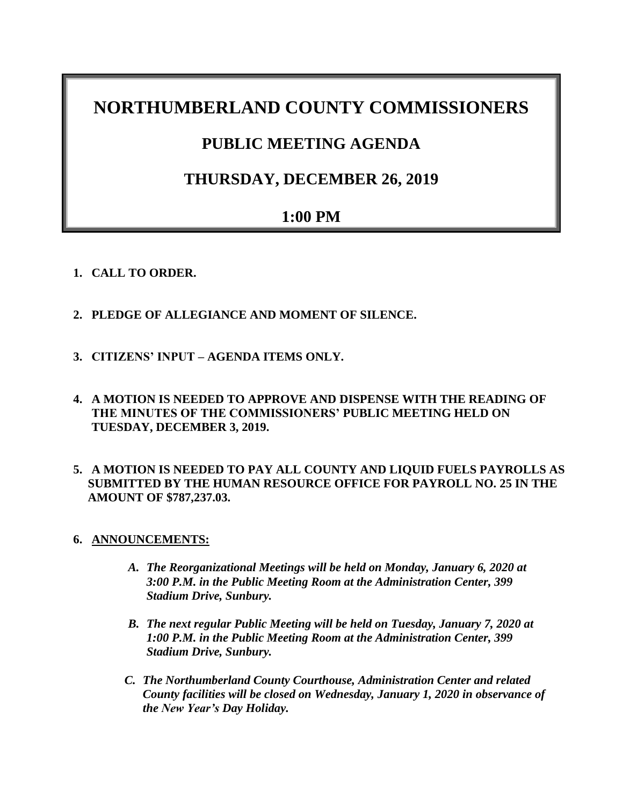# **NORTHUMBERLAND COUNTY COMMISSIONERS**

# **PUBLIC MEETING AGENDA**

# **THURSDAY, DECEMBER 26, 2019**

# **1:00 PM**

- **1. CALL TO ORDER.**
- **2. PLEDGE OF ALLEGIANCE AND MOMENT OF SILENCE.**
- **3. CITIZENS' INPUT – AGENDA ITEMS ONLY.**
- **4. A MOTION IS NEEDED TO APPROVE AND DISPENSE WITH THE READING OF THE MINUTES OF THE COMMISSIONERS' PUBLIC MEETING HELD ON TUESDAY, DECEMBER 3, 2019.**
- **5. A MOTION IS NEEDED TO PAY ALL COUNTY AND LIQUID FUELS PAYROLLS AS SUBMITTED BY THE HUMAN RESOURCE OFFICE FOR PAYROLL NO. 25 IN THE AMOUNT OF \$787,237.03.**
- **6. ANNOUNCEMENTS:**
	- *A. The Reorganizational Meetings will be held on Monday, January 6, 2020 at 3:00 P.M. in the Public Meeting Room at the Administration Center, 399 Stadium Drive, Sunbury.*
	- *B. The next regular Public Meeting will be held on Tuesday, January 7, 2020 at 1:00 P.M. in the Public Meeting Room at the Administration Center, 399 Stadium Drive, Sunbury.*
	- *C. The Northumberland County Courthouse, Administration Center and related County facilities will be closed on Wednesday, January 1, 2020 in observance of the New Year's Day Holiday.*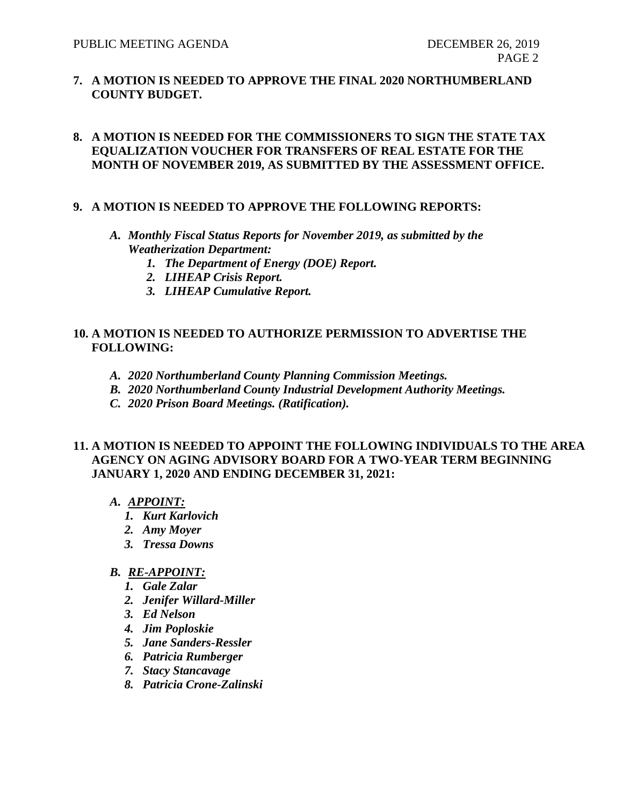**7. A MOTION IS NEEDED TO APPROVE THE FINAL 2020 NORTHUMBERLAND COUNTY BUDGET.**

### **8. A MOTION IS NEEDED FOR THE COMMISSIONERS TO SIGN THE STATE TAX EQUALIZATION VOUCHER FOR TRANSFERS OF REAL ESTATE FOR THE MONTH OF NOVEMBER 2019, AS SUBMITTED BY THE ASSESSMENT OFFICE.**

#### **9. A MOTION IS NEEDED TO APPROVE THE FOLLOWING REPORTS:**

- *A. Monthly Fiscal Status Reports for November 2019, as submitted by the Weatherization Department:*
	- *1. The Department of Energy (DOE) Report.*
	- *2. LIHEAP Crisis Report.*
	- *3. LIHEAP Cumulative Report.*

#### **10. A MOTION IS NEEDED TO AUTHORIZE PERMISSION TO ADVERTISE THE FOLLOWING:**

- *A. 2020 Northumberland County Planning Commission Meetings.*
- *B. 2020 Northumberland County Industrial Development Authority Meetings.*
- *C. 2020 Prison Board Meetings. (Ratification).*

### **11. A MOTION IS NEEDED TO APPOINT THE FOLLOWING INDIVIDUALS TO THE AREA AGENCY ON AGING ADVISORY BOARD FOR A TWO-YEAR TERM BEGINNING JANUARY 1, 2020 AND ENDING DECEMBER 31, 2021:**

- *A. APPOINT:*
	- *1. Kurt Karlovich*
	- *2. Amy Moyer*
	- *3. Tressa Downs*

### *B. RE-APPOINT:*

- *1. Gale Zalar*
- *2. Jenifer Willard-Miller*
- *3. Ed Nelson*
- *4. Jim Poploskie*
- *5. Jane Sanders-Ressler*
- *6. Patricia Rumberger*
- *7. Stacy Stancavage*
- *8. Patricia Crone-Zalinski*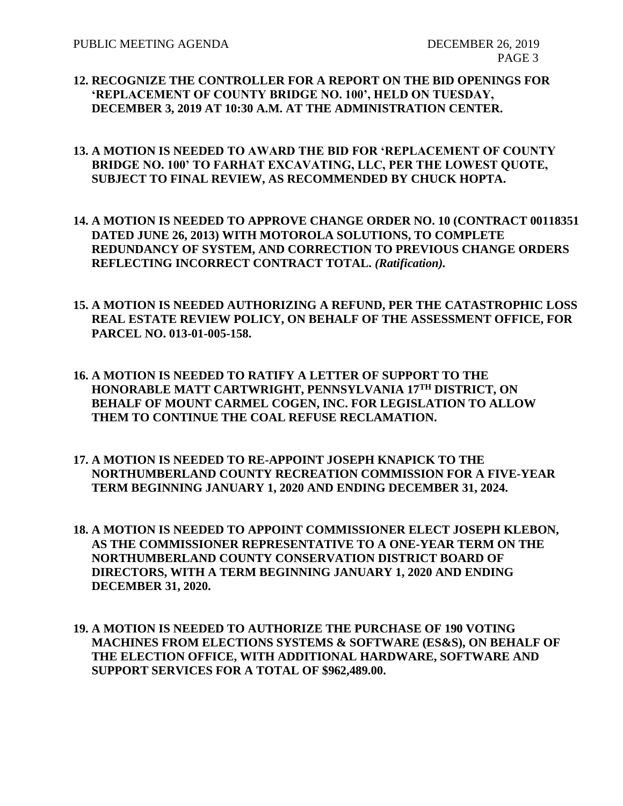- **12. RECOGNIZE THE CONTROLLER FOR A REPORT ON THE BID OPENINGS FOR 'REPLACEMENT OF COUNTY BRIDGE NO. 100', HELD ON TUESDAY, DECEMBER 3, 2019 AT 10:30 A.M. AT THE ADMINISTRATION CENTER.**
- **13. A MOTION IS NEEDED TO AWARD THE BID FOR 'REPLACEMENT OF COUNTY BRIDGE NO. 100' TO FARHAT EXCAVATING, LLC, PER THE LOWEST QUOTE, SUBJECT TO FINAL REVIEW, AS RECOMMENDED BY CHUCK HOPTA.**
- **14. A MOTION IS NEEDED TO APPROVE CHANGE ORDER NO. 10 (CONTRACT 00118351 DATED JUNE 26, 2013) WITH MOTOROLA SOLUTIONS, TO COMPLETE REDUNDANCY OF SYSTEM, AND CORRECTION TO PREVIOUS CHANGE ORDERS REFLECTING INCORRECT CONTRACT TOTAL.** *(Ratification).*
- **15. A MOTION IS NEEDED AUTHORIZING A REFUND, PER THE CATASTROPHIC LOSS REAL ESTATE REVIEW POLICY, ON BEHALF OF THE ASSESSMENT OFFICE, FOR PARCEL NO. 013-01-005-158.**
- **16. A MOTION IS NEEDED TO RATIFY A LETTER OF SUPPORT TO THE HONORABLE MATT CARTWRIGHT, PENNSYLVANIA 17TH DISTRICT, ON BEHALF OF MOUNT CARMEL COGEN, INC. FOR LEGISLATION TO ALLOW THEM TO CONTINUE THE COAL REFUSE RECLAMATION.**
- **17. A MOTION IS NEEDED TO RE-APPOINT JOSEPH KNAPICK TO THE NORTHUMBERLAND COUNTY RECREATION COMMISSION FOR A FIVE-YEAR TERM BEGINNING JANUARY 1, 2020 AND ENDING DECEMBER 31, 2024.**
- **18. A MOTION IS NEEDED TO APPOINT COMMISSIONER ELECT JOSEPH KLEBON, AS THE COMMISSIONER REPRESENTATIVE TO A ONE-YEAR TERM ON THE NORTHUMBERLAND COUNTY CONSERVATION DISTRICT BOARD OF DIRECTORS, WITH A TERM BEGINNING JANUARY 1, 2020 AND ENDING DECEMBER 31, 2020.**
- **19. A MOTION IS NEEDED TO AUTHORIZE THE PURCHASE OF 190 VOTING MACHINES FROM ELECTIONS SYSTEMS & SOFTWARE (ES&S), ON BEHALF OF THE ELECTION OFFICE, WITH ADDITIONAL HARDWARE, SOFTWARE AND SUPPORT SERVICES FOR A TOTAL OF \$962,489.00.**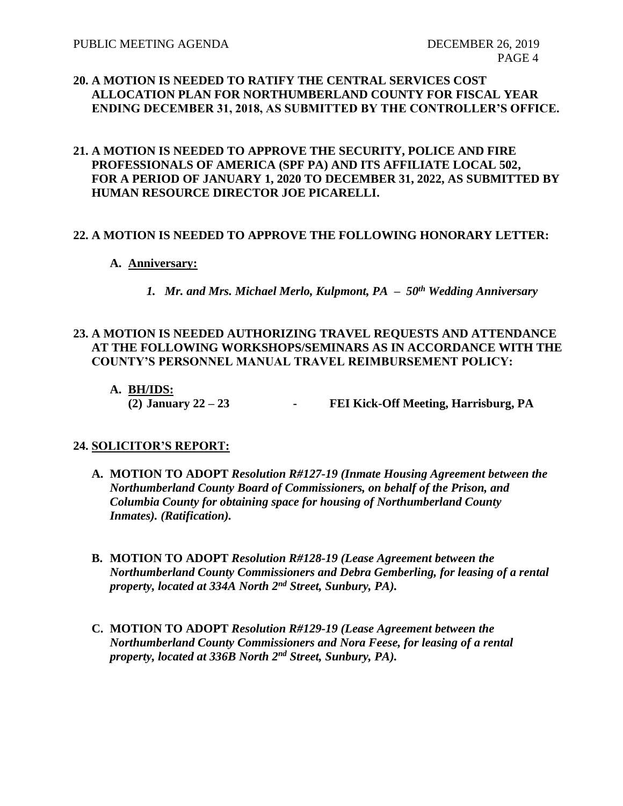## **20. A MOTION IS NEEDED TO RATIFY THE CENTRAL SERVICES COST ALLOCATION PLAN FOR NORTHUMBERLAND COUNTY FOR FISCAL YEAR ENDING DECEMBER 31, 2018, AS SUBMITTED BY THE CONTROLLER'S OFFICE.**

### **21. A MOTION IS NEEDED TO APPROVE THE SECURITY, POLICE AND FIRE PROFESSIONALS OF AMERICA (SPF PA) AND ITS AFFILIATE LOCAL 502, FOR A PERIOD OF JANUARY 1, 2020 TO DECEMBER 31, 2022, AS SUBMITTED BY HUMAN RESOURCE DIRECTOR JOE PICARELLI.**

### **22. A MOTION IS NEEDED TO APPROVE THE FOLLOWING HONORARY LETTER:**

- **A. Anniversary:**
	- *1. Mr. and Mrs. Michael Merlo, Kulpmont, PA – 50th Wedding Anniversary*

## **23. A MOTION IS NEEDED AUTHORIZING TRAVEL REQUESTS AND ATTENDANCE AT THE FOLLOWING WORKSHOPS/SEMINARS AS IN ACCORDANCE WITH THE COUNTY'S PERSONNEL MANUAL TRAVEL REIMBURSEMENT POLICY:**

**A. BH/IDS: (2) January 22 – 23 - FEI Kick-Off Meeting, Harrisburg, PA**

## **24. SOLICITOR'S REPORT:**

- **A. MOTION TO ADOPT** *Resolution R#127-19 (Inmate Housing Agreement between the Northumberland County Board of Commissioners, on behalf of the Prison, and Columbia County for obtaining space for housing of Northumberland County Inmates). (Ratification).*
- **B. MOTION TO ADOPT** *Resolution R#128-19 (Lease Agreement between the Northumberland County Commissioners and Debra Gemberling, for leasing of a rental property, located at 334A North 2nd Street, Sunbury, PA).*
- **C. MOTION TO ADOPT** *Resolution R#129-19 (Lease Agreement between the Northumberland County Commissioners and Nora Feese, for leasing of a rental property, located at 336B North 2nd Street, Sunbury, PA).*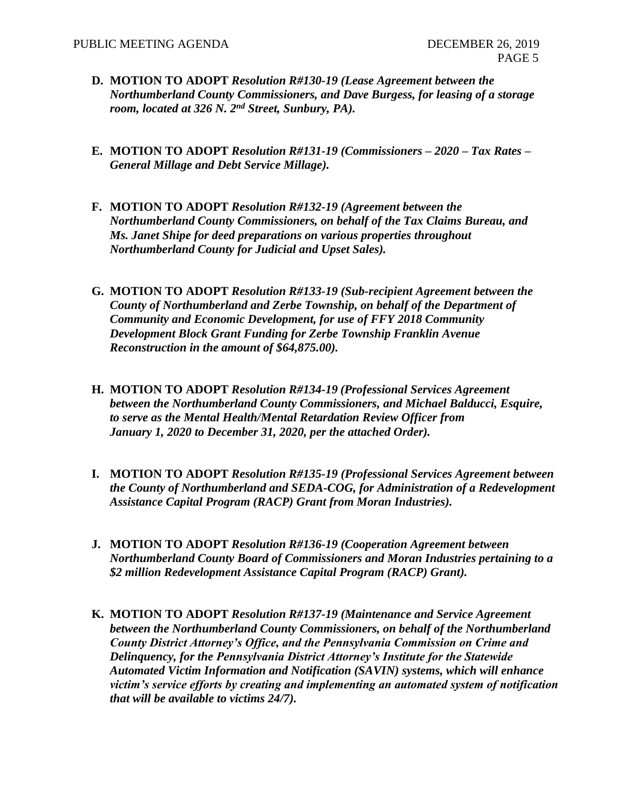- **D. MOTION TO ADOPT** *Resolution R#130-19 (Lease Agreement between the Northumberland County Commissioners, and Dave Burgess, for leasing of a storage room, located at 326 N. 2nd Street, Sunbury, PA).*
- **E. MOTION TO ADOPT** *Resolution R#131-19 (Commissioners – 2020 – Tax Rates – General Millage and Debt Service Millage).*
- **F. MOTION TO ADOPT** *Resolution R#132-19 (Agreement between the Northumberland County Commissioners, on behalf of the Tax Claims Bureau, and Ms. Janet Shipe for deed preparations on various properties throughout Northumberland County for Judicial and Upset Sales).*
- **G. MOTION TO ADOPT** *Resolution R#133-19 (Sub-recipient Agreement between the County of Northumberland and Zerbe Township, on behalf of the Department of Community and Economic Development, for use of FFY 2018 Community Development Block Grant Funding for Zerbe Township Franklin Avenue Reconstruction in the amount of \$64,875.00).*
- **H. MOTION TO ADOPT** *Resolution R#134-19 (Professional Services Agreement between the Northumberland County Commissioners, and Michael Balducci, Esquire, to serve as the Mental Health/Mental Retardation Review Officer from January 1, 2020 to December 31, 2020, per the attached Order).*
- **I. MOTION TO ADOPT** *Resolution R#135-19 (Professional Services Agreement between the County of Northumberland and SEDA-COG, for Administration of a Redevelopment Assistance Capital Program (RACP) Grant from Moran Industries).*
- **J. MOTION TO ADOPT** *Resolution R#136-19 (Cooperation Agreement between Northumberland County Board of Commissioners and Moran Industries pertaining to a \$2 million Redevelopment Assistance Capital Program (RACP) Grant).*
- **K. MOTION TO ADOPT** *Resolution R#137-19 (Maintenance and Service Agreement between the Northumberland County Commissioners, on behalf of the Northumberland County District Attorney's Office, and the Pennsylvania Commission on Crime and Delinquency, for the Pennsylvania District Attorney's Institute for the Statewide Automated Victim Information and Notification (SAVIN) systems, which will enhance victim's service efforts by creating and implementing an automated system of notification that will be available to victims 24/7).*